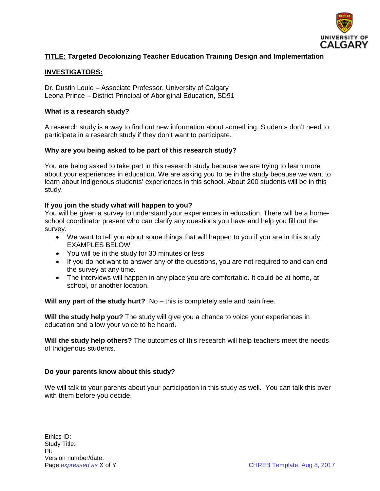

# **TITLE: Targeted Decolonizing Teacher Education Training Design and Implementation**

## **INVESTIGATORS:**

Dr. Dustin Louie – Associate Professor, University of Calgary Leona Prince – District Principal of Aboriginal Education, SD91

### **What is a research study?**

A research study is a way to find out new information about something. Students don't need to participate in a research study if they don't want to participate.

## **Why are you being asked to be part of this research study?**

You are being asked to take part in this research study because we are trying to learn more about your experiences in education. We are asking you to be in the study because we want to learn about Indigenous students' experiences in this school. About 200 students will be in this study.

### **If you join the study what will happen to you?**

You will be given a survey to understand your experiences in education. There will be a homeschool coordinator present who can clarify any questions you have and help you fill out the survey.

- We want to tell you about some things that will happen to you if you are in this study. EXAMPLES BELOW
- You will be in the study for 30 minutes or less
- If you do not want to answer any of the questions, you are not required to and can end the survey at any time.
- The interviews will happen in any place you are comfortable. It could be at home, at school, or another location.

**Will any part of the study hurt?** No – this is completely safe and pain free.

**Will the study help you?** The study will give you a chance to voice your experiences in education and allow your voice to be heard.

**Will the study help others?** The outcomes of this research will help teachers meet the needs of Indigenous students.

### **Do your parents know about this study?**

We will talk to your parents about your participation in this study as well. You can talk this over with them before you decide.